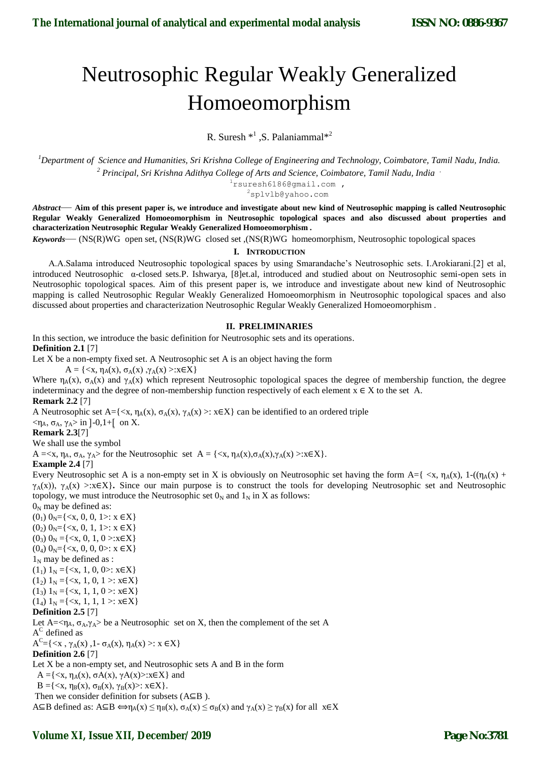# Neutrosophic Regular Weakly Generalized Homoeomorphism

R. Suresh  $*^1$ , S. Palaniammal $*^2$ 

*<sup>1</sup>Department of Science and Humanities, Sri Krishna College of Engineering and Technology, Coimbatore, Tamil Nadu, India. <sup>2</sup> Principal, Sri Krishna Adithya College of Arts and Science, Coimbatore, Tamil Nadu, India .*

1rsuresh6186@gmail.com ,

<sup>2</sup>splvlb@yahoo.com

*Abstract*— **Aim of this present paper is, we introduce and investigate about new kind of Neutrosophic mapping is called Neutrosophic Regular Weakly Generalized Homoeomorphism in Neutrosophic topological spaces and also discussed about properties and characterization Neutrosophic Regular Weakly Generalized Homoeomorphism .**

*Keywords*— (NS(R)WG open set, (NS(R)WG closed set ,(NS(R)WG homeomorphism, Neutrosophic topological spaces

#### **I. INTRODUCTION**

 A.A.Salama introduced Neutrosophic topological spaces by using Smarandache's Neutrosophic sets. I.Arokiarani.[2] et al, introduced Neutrosophic α-closed sets.P. Ishwarya, [8]et.al, introduced and studied about on Neutrosophic semi-open sets in Neutrosophic topological spaces. Aim of this present paper is, we introduce and investigate about new kind of Neutrosophic mapping is called Neutrosophic Regular Weakly Generalized Homoeomorphism in Neutrosophic topological spaces and also discussed about properties and characterization Neutrosophic Regular Weakly Generalized Homoeomorphism .

#### **II. PRELIMINARIES**

In this section, we introduce the basic definition for Neutrosophic sets and its operations. **Definition 2.1** [7]

Let X be a non-empty fixed set. A Neutrosophic set A is an object having the form

 $A = \{ \langle x, \eta_A(x), \sigma_A(x), \gamma_A(x) \rangle : x \in X \}$ 

Where  $\eta_A(x)$ ,  $\sigma_A(x)$  and  $\gamma_A(x)$  which represent Neutrosophic topological spaces the degree of membership function, the degree indeterminacy and the degree of non-membership function respectively of each element  $x \in X$  to the set A. **Remark 2.2** [7]

A Neutrosophic set A={ $\langle x, \eta_A(x), \sigma_A(x), \gamma_A(x) \rangle$ :  $x \in X$ } can be identified to an ordered triple

 $<$ η<sub>A</sub>, σ<sub>A</sub>, γ<sub>A</sub>> in ]-0,1+[ on X.

**Remark 2.3**[7]

We shall use the symbol

 $A = \langle x, \eta_A, \sigma_A, \gamma_A \rangle$  for the Neutrosophic set  $A = \{\langle x, \eta_A(x), \sigma_A(x), \gamma_A(x) \rangle : x \in X\}.$ 

## **Example 2.4** [7]

Every Neutrosophic set A is a non-empty set in X is obviously on Neutrosophic set having the form A={ $\langle x, \eta_A(x), 1-(\eta_A(x)) \rangle$  $γ_A(x)$ , γ<sub>A</sub>(x) >:x∈X}. Since our main purpose is to construct the tools for developing Neutrosophic set and Neutrosophic topology, we must introduce the Neutrosophic set  $0_N$  and  $1_N$  in X as follows:

 $0<sub>N</sub>$  may be defined as:  $(0_1)$   $0_N = \{ \langle x, 0, 0, 1 \rangle : x \in X \}$  $(0_2)$   $0_N = \{ \langle x, 0, 1, 1 \rangle : x \in X \}$  $(0_3)$   $0_N = \{ \langle x, 0, 1, 0 \rangle : x \in X \}$  $(0_4)$   $0_N = \{ \langle x, 0, 0, 0 \rangle : x \in X \}$  $1_N$  may be defined as :  $(1<sub>1</sub>)$  1<sub>N</sub> ={<x, 1, 0, 0>: x $\in$ X}  $(1_2)$  1<sub>N</sub> ={<x, 1, 0, 1 >: x $\in$ X}  $(1_3)$  1<sub>N</sub> ={<x, 1, 1, 0 >: x $\in$ X}

 $(1_4)$  1<sub>N</sub> ={<x, 1, 1, 1 >: x $\in$ X}

# **Definition 2.5** [7]

Let  $A = \langle \eta_A, \sigma_A, \gamma_A \rangle$  be a Neutrosophic set on X, then the complement of the set A  $A^C$  defined as

 $A^{C} = \{ \langle x, \gamma_A(x), 1 - \sigma_A(x), \eta_A(x) \rangle : x \in X \}$ 

## **Definition 2.6** [7]

Let X be a non-empty set, and Neutrosophic sets A and B in the form

 $A = \{ \langle x, \eta_A(x), \sigma A(x), \gamma A(x) \rangle : x \in X \}$  and

 $B = \{ \langle x, \eta_B(x), \sigma_B(x), \gamma_B(x) \rangle : x \in X \}.$ 

Then we consider definition for subsets (A⊆B ).

 $A\subseteq B$  defined as:  $A\subseteq B \Leftrightarrow \eta_A(x) \leq \eta_B(x)$ ,  $\sigma_A(x) \leq \sigma_B(x)$  and  $\gamma_A(x) \geq \gamma_B(x)$  for all  $x \in X$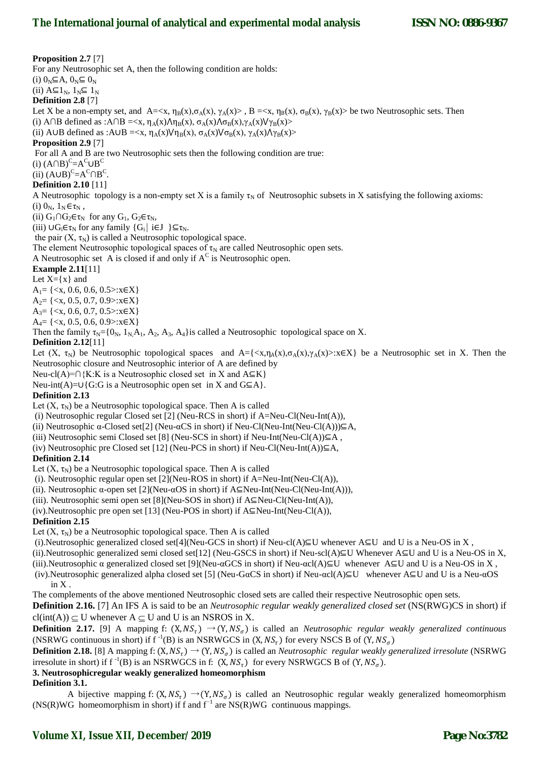**Proposition 2.7** [7] For any Neutrosophic set A, then the following condition are holds: (i)  $0_N \subseteq A$ ,  $0_N \subseteq 0_N$ (ii)  $A \subseteq 1_N$ ,  $1_N \subseteq 1_N$ **Definition 2.8** [7] Let X be a non-empty set, and A= $\langle x, \eta_B(x), \sigma_A(x), \gamma_A(x) \rangle$ , B = $\langle x, \eta_B(x), \sigma_B(x), \gamma_B(x) \rangle$  be two Neutrosophic sets. Then (i) A∩B defined as :A∩B =  $\langle x, \eta_A(x) \Lambda \eta_B(x), \sigma_A(x) \Lambda \sigma_B(x), \gamma_A(x) \nu_{\gamma_B(x)} \rangle$ (ii) A∪B defined as :A∪B =  $\langle x, \eta_A(x) \lor \eta_B(x), \sigma_A(x) \lor \sigma_B(x), \gamma_A(x) \land \gamma_B(x) \rangle$ **Proposition 2.9** [7] For all A and B are two Neutrosophic sets then the following condition are true: (i)  $(A \cap B)^C = A^C \cup B^C$ (ii)  $(A \cup B)^C = A^C \cap B^C$ . **Definition 2.10** [11] A Neutrosophic topology is a non-empty set X is a family  $\tau_N$  of Neutrosophic subsets in X satisfying the following axioms: (i)  $0_N$ ,  $1_N \in \tau_N$ , (ii)  $G_1 \cap G_2 \in \tau_N$  for any  $G_1$ ,  $G_2 \in \tau_N$ , (iii)  $\bigcup G_i \in \tau_N$  for any family  $\{G_i \mid i \in J \} \subseteq \tau_N$ . the pair  $(X, \tau_N)$  is called a Neutrosophic topological space. The element Neutrosophic topological spaces of  $\tau_N$  are called Neutrosophic open sets. A Neutrosophic set A is closed if and only if  $A^C$  is Neutrosophic open. **Example 2.11**[11] Let  $X = \{x\}$  and  $A_1 = \{ \langle x, 0.6, 0.6, 0.5 \rangle : x \in X \}$  $A_2 = \{ \langle x, 0.5, 0.7, 0.9 \rangle : x \in X \}$  $A_3 = \{ \langle x, 0.6, 0.7, 0.5 \rangle : x \in X \}$  $A_4 = \{ \langle x, 0.5, 0.6, 0.9 \rangle : x \in X \}$ Then the family  $\tau_N = \{0_N, 1_N, A_1, A_2, A_3, A_4\}$  is called a Neutrosophic topological space on X. **Definition 2.12**[11] Let  $(X, \tau_N)$  be Neutrosophic topological spaces and A={<x,ηA(x), $\sigma_A(x), \gamma_A(x) > x \in X$ } be a Neutrosophic set in X. Then the Neutrosophic closure and Neutrosophic interior of A are defined by Neu-cl(A)=∩{K:K is a Neutrosophic closed set in X and  $A \subseteq K$ } Neu-int(A)=∪{G:G is a Neutrosophic open set in X and  $G\subseteq A$ }. **Definition 2.13**  Let  $(X, \tau_N)$  be a Neutrosophic topological space. Then A is called (i) Neutrosophic regular Closed set [2] (Neu-RCS in short) if A=Neu-Cl(Neu-Int(A)), (ii) Neutrosophic  $\alpha$ -Closed set[2] (Neu- $\alpha$ CS in short) if Neu-Cl(Neu-Int(Neu-Cl(A))) $\subseteq$ A, (iii) Neutrosophic semi Closed set [8] (Neu-SCS in short) if Neu-Int(Neu-Cl(A)) $\subseteq$ A, (iv) Neutrosophic pre Closed set [12] (Neu-PCS in short) if Neu-Cl(Neu-Int(A))⊆A, **Definition 2.14**  Let  $(X, \tau_N)$  be a Neutrosophic topological space. Then A is called (i). Neutrosophic regular open set [2](Neu-ROS in short) if A=Neu-Int(Neu-Cl(A)), (ii). Neutrosophic  $\alpha$ -open set [2](Neu- $\alpha$ OS in short) if A⊆Neu-Int(Neu-Cl(Neu-Int(A))), (iii). Neutrosophic semi open set  $[8]$ (Neu-SOS in short) if A⊆Neu-Cl(Neu-Int(A)), (iv).Neutrosophic pre open set [13] (Neu-POS in short) if A⊆Neu-Int(Neu-Cl(A)), **Definition 2.15** Let  $(X, \tau_N)$  be a Neutrosophic topological space. Then A is called (i).Neutrosophic generalized closed set[4](Neu-GCS in short) if Neu-cl(A)⊆U whenever  $A \subseteq U$  and U is a Neu-OS in X, (ii).Neutrosophic generalized semi closed set[12] (Neu-GSCS in short) if Neu-scl(A)⊆U Whenever A⊆U and U is a Neu-OS in X, (iii).Neutrosophic  $\alpha$  generalized closed set [9](Neu- $\alpha$ GCS in short) if Neu- $\alpha$ cl(A)⊆U whenever A⊆U and U is a Neu-OS in X, (iv).Neutrosophic generalized alpha closed set [5] (Neu-GαCS in short) if Neu-αcl(A)⊆U whenever A⊆U and U is a Neu-αOS in X . The complements of the above mentioned Neutrosophic closed sets are called their respective Neutrosophic open sets. **Definition 2.16.** [7] An IFS A is said to be an *Neutrosophic regular weakly generalized closed set* (NS(RWG)CS in short) if  $cl(int(A)) \subset U$  whenever  $A \subset U$  and U is an NSROS in X. **Definition 2.17.** [9] A mapping f:  $(X, NS<sub>1</sub>) \rightarrow (Y, NS<sub>2</sub>)$  is called an *Neutrosophic regular weakly generalized continuous* 

(NSRWG continuous in short) if  $f^{-1}(B)$  is an NSRWGCS in  $(X, NS_{\tau})$  for every NSCS B of  $(Y, NS_{\sigma})$ 

**Definition 2.18.** [8] A mapping f:  $(X, NS<sub>\tau</sub>) \rightarrow (Y, NS<sub>\sigma</sub>)$  is called an *Neutrosophic regular weakly generalized irresolute* (NSRWG irresolute in short) if  $f^{-1}(B)$  is an NSRWGCS in f:  $(X, NS_{\tau})$  for every NSRWGCS B of  $(Y, NS_{\sigma})$ .

# **3. Neutrosophicregular weakly generalized homeomorphism**

# **Definition 3.1.**

A bijective mapping f:  $(X, NS_{\tau}) \rightarrow (Y, NS_{\sigma})$  is called an Neutrosophic regular weakly generalized homeomorphism  $(NS(R)WG$  homeomorphism in short) if f and f<sup>-1</sup> are NS(R)WG continuous mappings.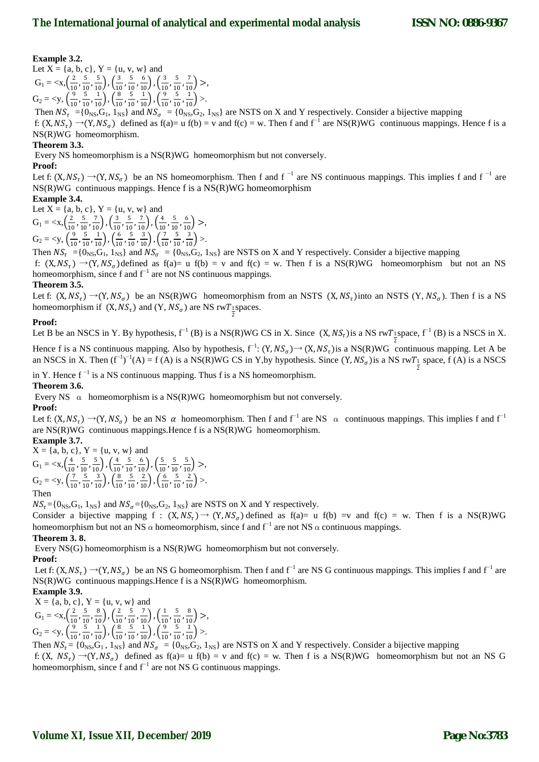# **Example 3.2.**

Let  $X = \{a, b, c\}$ ,  $Y = \{u, v, w\}$  and  $G_1 = \langle x, \frac{2}{10} \rangle$  $\frac{2}{10}$ ,  $\frac{5}{10}$  $\frac{5}{10}, \frac{5}{10}$ ,  $\left(\frac{3}{10}\right)$  $\frac{3}{10}$ ,  $\frac{5}{10}$  $\frac{5}{10}, \frac{6}{10}$ ,  $\left(\frac{3}{10}\right)$  $\frac{3}{10}$ ,  $\frac{5}{10}$  $\frac{5}{10}, \frac{7}{10}$  >,  $G_2 = \langle y, \frac{9}{10} \rangle$  $\frac{9}{10}$ ,  $\frac{5}{10}$  $\frac{5}{10}, \frac{1}{10}$ ,  $\left(\frac{8}{10}\right)$  $\frac{8}{10}$ ,  $\frac{5}{10}$  $\frac{5}{10}, \frac{1}{10}$ ,  $\left(\frac{9}{10}\right)$  $\frac{9}{10}$ ,  $\frac{5}{10}$  $\frac{5}{10}, \frac{1}{10}$  >.

Then  $NS_{\tau} = \{0_{NS}, G_1, 1_{NS}\}\$ and  $NS_{\sigma} = \{0_{NS}, G_2, 1_{NS}\}\$ are NSTS on X and Y respectively. Consider a bijective mapping f:  $(X, NS_{\tau}) \rightarrow (Y, NS_{\sigma})$  defined as f(a)= u f(b) = v and f(c) = w. Then f and f<sup>-1</sup> are NS(R)WG continuous mappings. Hence f is a NS(R)WG homeomorphism.

# **Theorem 3.3.**

Every NS homeomorphism is a NS(R)WG homeomorphism but not conversely.

## **Proof:**

Let f:  $(X, NS_{\tau}) \rightarrow (Y, NS_{\sigma})$  be an NS homeomorphism. Then f and f<sup>-1</sup> are NS continuous mappings. This implies f and f<sup>-1</sup> are NS(R)WG continuous mappings. Hence f is a NS(R)WG homeomorphism

# **Example 3.4.**

Let  $X = \{a, b, c\}$ ,  $Y = \{u, v, w\}$  and

 $G_1 = \langle x, \frac{2}{10} \rangle$  $\frac{2}{10}$ ,  $\frac{5}{10}$  $\frac{5}{10}, \frac{7}{10}$ ,  $\left(\frac{3}{10}\right)$  $\frac{3}{10}$ ,  $\frac{5}{10}$  $\frac{5}{10}, \frac{7}{10}$ ,  $\left(\frac{4}{10}\right)$  $\frac{4}{10}$ ,  $\frac{5}{10}$  $\frac{5}{10}, \frac{6}{10}$  >,  $G_2 = \langle y, \frac{9}{10} \rangle$  $\frac{9}{10}$ ,  $\frac{5}{10}$  $\frac{5}{10}, \frac{1}{10}$ ,  $\left(\frac{6}{10}\right)$  $\frac{6}{10}$ ,  $\frac{5}{10}$  $\frac{5}{10}, \frac{3}{10}$ ,  $\left(\frac{7}{10}\right)$  $\frac{7}{10}$ ,  $\frac{5}{10}$  $\frac{5}{10}, \frac{3}{10}$  >.

Then  $NS_{\tau} = \{0_{\text{NS}}, G_1, 1_{\text{NS}}\}$  and  $NS_{\sigma} = \{0_{\text{NS}}, G_2, 1_{\text{NS}}\}$  are NSTS on X and Y respectively. Consider a bijective mapping

f:  $(X, NS<sub>r</sub>) \rightarrow (Y, NS<sub>s</sub>)$  defined as f(a)= u f(b) = v and f(c) = w. Then f is a NS(R)WG homeomorphism but not an NS homeomorphism, since f and  $f^{-1}$  are not NS continuous mappings.

# **Theorem 3.5.**

Let f:  $(X, NS_{\tau}) \rightarrow (Y, NS_{\sigma})$  be an NS(R)WG homeomorphism from an NSTS  $(X, NS_{\tau})$  into an NSTS  $(Y, NS_{\sigma})$ . Then f is a NS homeomorphism if  $(X, NS_{\tau})$  and  $(Y, NS_{\sigma})$  are NS rwT<sub>1</sub> spaces.

# **Proof:**

Let B be an NSCS in Y. By hypothesis,  $f^{-1}(B)$  is a NS(R)WG CS in X. Since  $(X, NS_{\tau})$  is a NS rwT<sub>1</sub> space,  $f^{-1}(B)$  is a NSCS in X.

Hence f is a NS continuous mapping. Also by hypothesis, f<sup>-1</sup>:  $(Y, NS_{\sigma}) \rightarrow (X, NS_{\tau})$ is a NS(R)WG continuous mapping. Let A be an NSCS in X. Then  $(f^{-1})^{-1}(A) = f(A)$  is a NS(R)WG CS in Y,by hypothesis. Since  $(Y, NS_{\sigma})$  is a NS rwT<sub> $\frac{1}{2}$ </sub> space, f (A) is a NSCS

in Y. Hence  $f^{-1}$  is a NS continuous mapping. Thus f is a NS homeomorphism.

# **Theorem 3.6.**

Every NS  $\alpha$  homeomorphism is a NS(R)WG homeomorphism but not conversely.

## **Proof:**

Let f:  $(X, NS_{\tau}) \rightarrow (Y, NS_{\sigma})$  be an NS  $\alpha$  homeomorphism. Then f and f<sup>-1</sup> are NS  $\alpha$  continuous mappings. This implies f and f<sup>-1</sup> are NS(R)WG continuous mappings.Hence f is a NS(R)WG homeomorphism.

**Example 3.7.**   $X = \{a, b, c\}$ ,  $Y = \{u, v, w\}$  and  $G_1 = \langle x, \frac{4}{10} \rangle$  $\frac{4}{10}$ ,  $\frac{5}{10}$  $\frac{5}{10}, \frac{5}{10}$ ,  $\left(\frac{4}{10}\right)$  $\frac{4}{10}$ ,  $\frac{5}{10}$  $\frac{5}{10}, \frac{6}{10}$ ,  $\left(\frac{5}{10}\right)$  $\frac{5}{10}$ ,  $\frac{5}{10}$  $\frac{5}{10}, \frac{5}{10}$  >,  $G_2 = \langle y, \frac{7}{10} \rangle$  $\frac{7}{10}$ ,  $\frac{5}{10}$  $\frac{5}{10}, \frac{3}{10}$ ,  $\left(\frac{8}{10}\right)$  $\frac{8}{10}$ ,  $\frac{5}{10}$  $\frac{5}{10}, \frac{2}{10}$ ,  $\left(\frac{6}{10}\right)$  $\frac{6}{10}$ ,  $\frac{5}{10}$  $\frac{5}{10}, \frac{2}{10}$  >. Then

 $NS_{\tau} = \{0_{\text{NS}}, G_1, 1_{\text{NS}}\}$  and  $NS_{\sigma} = \{0_{\text{NS}}, G_2, 1_{\text{NS}}\}$  are NSTS on X and Y respectively.

Consider a bijective mapping  $f : (X, NS<sub>\tau</sub>) \rightarrow (Y, NS<sub>\sigma</sub>)$  defined as  $f(a)= u f(b) = v$  and  $f(c) = w$ . Then f is a NS(R)WG homeomorphism but not an NS  $\alpha$  homeomorphism, since f and f<sup>-1</sup> are not NS  $\alpha$  continuous mappings.

# **Theorem 3. 8.**

Every NS(G) homeomorphism is a NS(R)WG homeomorphism but not conversely.

## **Proof:**

Let f:  $(X, NS_{\tau}) \to (Y, NS_{\sigma})$  be an NS G homeomorphism. Then f and f<sup>-1</sup> are NS G continuous mappings. This implies f and f<sup>-1</sup> are NS(R)WG continuous mappings.Hence f is a NS(R)WG homeomorphism.

**Example 3.9.**  $X = \{a, b, c\}$ ,  $Y = \{u, v, w\}$  and  $G_1 = \langle x, \frac{2}{10} \rangle$  $\frac{2}{10}$ ,  $\frac{5}{10}$  $\frac{5}{10}, \frac{8}{10}$ ,  $\left(\frac{2}{10}\right)$  $\frac{2}{10}$ ,  $\frac{5}{10}$  $\frac{5}{10}, \frac{7}{10}$ ,  $\left(\frac{1}{10}\right)$  $\frac{1}{10}$ ,  $\frac{5}{10}$  $\frac{5}{10}, \frac{8}{10}$  >,

$$
G_2 = \langle y, \left(\frac{9}{10}, \frac{5}{10}, \frac{1}{10}\right), \left(\frac{8}{10}, \frac{5}{10}, \frac{1}{10}\right), \left(\frac{9}{10}, \frac{5}{10}, \frac{1}{10}\right) \rangle.
$$

Then  $NS_{\tau} = \{0_{NS}, G_1, 1_{NS}\}\$  and  $NS_{\sigma} = \{0_{NS}, G_2, 1_{NS}\}\$  are NSTS on X and Y respectively. Consider a bijective mapping

f:  $(X, NS<sub>r</sub>) \rightarrow (Y, NS<sub>σ</sub>)$  defined as f(a)= u f(b) = v and f(c) = w. Then f is a NS(R)WG homeomorphism but not an NS G homeomorphism, since f and  $f^{-1}$  are not NS G continuous mappings.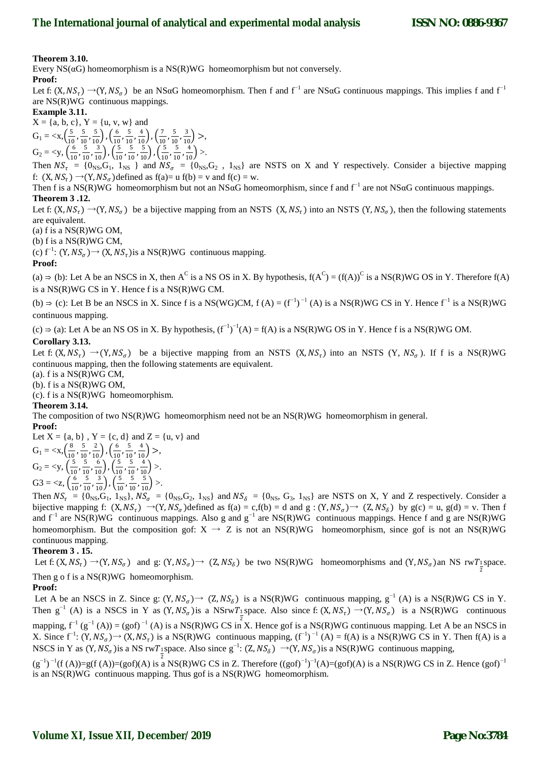## **Theorem 3.10.**

Every  $NS(\alpha G)$  homeomorphism is a  $NS(R)WG$  homeomorphism but not conversely. **Proof:** 

Let f:  $(X, NS_{\tau}) \rightarrow (Y, NS_{\sigma})$  be an NSaG homeomorphism. Then f and f<sup>-1</sup> are NSaG continuous mappings. This implies f and f<sup>-1</sup> are NS(R)WG continuous mappings.

## **Example 3.11.**

 $X = \{a, b, c\}$ ,  $Y = \{u, v, w\}$  and  $G_1 = \langle x, \frac{5}{10} \rangle$  $\frac{5}{10}$ ,  $\frac{5}{10}$  $\frac{5}{10}, \frac{5}{10}$ ,  $\left(\frac{6}{10}\right)$  $\frac{6}{10}$ ,  $\frac{5}{10}$  $\frac{5}{10}, \frac{4}{10}$ ,  $\left(\frac{7}{10}\right)$  $\frac{7}{10}$ ,  $\frac{5}{10}$  $\frac{5}{10}, \frac{3}{10}$  >,  $G_2 = \langle y, \left( \frac{6}{10} \right) \rangle$  $\frac{6}{10}$ ,  $\frac{5}{10}$  $\frac{5}{10}, \frac{3}{10}$ ,  $\left(\frac{5}{10}\right)$  $\frac{5}{10}$ ,  $\frac{5}{10}$  $\frac{5}{10}, \frac{5}{10}$ ,  $\left(\frac{5}{10}\right)$  $\frac{5}{10}$ ,  $\frac{5}{10}$  $\frac{5}{10}, \frac{4}{10}$  >.

Then  $NS_{\tau} = \{0_{NS}, G_1, 1_{NS}\}$  and  $NS_{\sigma} = \{0_{NS}, G_2, 1_{NS}\}$  are NSTS on X and Y respectively. Consider a bijective mapping f:  $(X, NS_{\tau}) \rightarrow (Y, NS_{\sigma})$  defined as  $f(a)=u f(b) = v$  and  $f(c) = w$ .

Then f is a NS(R)WG homeomorphism but not an NSαG homeomorphism, since f and f<sup>-1</sup> are not NSαG continuous mappings. **Theorem 3 .12.** 

Let f:  $(X, NS_{\tau}) \rightarrow (Y, NS_{\sigma})$  be a bijective mapping from an NSTS  $(X, NS_{\tau})$  into an NSTS  $(Y, NS_{\sigma})$ , then the following statements are equivalent.

(a) f is a  $NS(R)WG$  OM,

(b) f is a NS(R)WG CM,

(c) f<sup>-1</sup>: (Y,  $NS_{\sigma}$ ) → (X,  $NS_{\tau}$ ) is a NS(R)WG continuous mapping.

## **Proof:**

(a)  $\Rightarrow$  (b): Let A be an NSCS in X, then A<sup>C</sup> is a NS OS in X. By hypothesis,  $f(A^C) = (f(A))^C$  is a NS(R)WG OS in Y. Therefore  $f(A)$ is a NS(R)WG CS in Y. Hence f is a NS(R)WG CM.

(b)  $\Rightarrow$  (c): Let B be an NSCS in X. Since f is a NS(WG)CM, f (A) =  $(f^{-1})^{-1}$  (A) is a NS(R)WG CS in Y. Hence  $f^{-1}$  is a NS(R)WG continuous mapping.

(c) ⇒ (a): Let A be an NS OS in X. By hypothesis,  $(f^{-1})^{-1}(A) = f(A)$  is a NS(R)WG OS in Y. Hence f is a NS(R)WG OM. **Corollary 3.13.** 

Let f:  $(X, NS_{\tau}) \rightarrow (Y, NS_{\sigma})$  be a bijective mapping from an NSTS  $(X, NS_{\tau})$  into an NSTS  $(Y, NS_{\sigma})$ . If f is a NS(R)WG continuous mapping, then the following statements are equivalent.

(a). f is a NS(R)WG CM,

 $(b)$ . f is a NS $(R)$ WG OM,

(c). f is a NS(R)WG homeomorphism.

#### **Theorem 3.14.**

The composition of two NS(R)WG homeomorphism need not be an NS(R)WG homeomorphism in general. **Proof:** 

Let  $X = \{a, b\}$ ,  $Y = \{c, d\}$  and  $Z = \{u, v\}$  and  $G_1 = \langle x, \frac{8}{10} \rangle$  $\frac{8}{10}$ ,  $\frac{5}{10}$  $\frac{5}{10}, \frac{2}{10}$ ,  $\left(\frac{6}{10}\right)$  $\frac{6}{10}$ ,  $\frac{5}{10}$  $\frac{5}{10}, \frac{4}{10}$  >,  $G_2 = \lt y, \left(\frac{5}{10}\right)$  $\frac{5}{10}$ ,  $\frac{5}{10}$  $\frac{5}{10}$ ,  $\frac{6}{10}$ ),  $\left(\frac{5}{10}\right)$  $\frac{5}{10}$ ,  $\frac{5}{10}$  $\frac{5}{10}, \frac{4}{10}$  >.  $G3 = \langle z, \frac{6}{10} \rangle$  $\frac{6}{10}$ ,  $\frac{5}{10}$  $\frac{5}{10}, \frac{3}{10}$ ,  $\left(\frac{5}{10}\right)$  $\frac{5}{10}$ ,  $\frac{5}{10}$  $\frac{5}{10}, \frac{5}{10}$  >.

Then  $NS_{\tau} = \{0_{\text{NS}}, G_1, 1_{\text{NS}}\}$ ,  $NS_{\sigma} = \{0_{\text{NS}}, G_2, 1_{\text{NS}}\}$  and  $NS_{\delta} = \{0_{\text{NS}}, G_3, 1_{\text{NS}}\}$  are NSTS on X, Y and Z respectively. Consider a bijective mapping f:  $(X, NS_{\tau}) \rightarrow (Y, NS_{\sigma})$ defined as  $f(a) = c, f(b) = d$  and  $g : (Y, NS_{\sigma}) \rightarrow (Z, NS_{\delta})$  by  $g(c) = u, g(d) = v$ . Then f and  $f^{-1}$  are NS(R)WG continuous mappings. Also g and  $g^{-1}$  are NS(R)WG continuous mappings. Hence f and g are NS(R)WG homeomorphism. But the composition gof:  $X \rightarrow Z$  is not an NS(R)WG homeomorphism, since gof is not an NS(R)WG continuous mapping.

## **Theorem 3 . 15.**

Let f:  $(X, NS_{\tau}) \rightarrow (Y, NS_{\sigma})$  and g:  $(Y, NS_{\sigma}) \rightarrow (Z, NS_{\delta})$  be two NS(R)WG homeomorphisms and  $(Y, NS_{\sigma})$ an NS rw $T_{\frac{1}{2}}$ space. Then g o f is a NS(R)WG homeomorphism.

## **Proof:**

Let A be an NSCS in Z. Since g:  $(Y, NS_{\sigma}) \rightarrow (Z, NS_{\delta})$  is a NS(R)WG continuous mapping, g<sup>-1</sup> (A) is a NS(R)WG CS in Y. Then  $g^{-1}(A)$  is a NSCS in Y as  $(Y, NS_{\sigma})$  is a NSrwT<sub>1</sub> space. Also since f:  $(X, NS_{\tau}) \rightarrow (Y, NS_{\sigma})$  is a NS(R)WG continuous mapping,  $f^{-1}(g^{-1}(A)) = (gof)^{-1}(A)$  is a NS(R)WG CS in X. Hence gof is a NS(R)WG continuous mapping. Let A be an NSCS in X. Since  $f^{-1}$ :  $(Y, NS_{\sigma})$  →  $(X, NS_{\tau})$  is a NS(R)WG continuous mapping,  $(f^{-1})^{-1}$  (A) = f(A) is a NS(R)WG CS in Y. Then f(A) is a NSCS in Y as  $(Y, NS_{\sigma})$  is a NS rwT<sub>1</sub> space. Also since  $g^{-1}$ :  $(Z, NS_{\delta}) \rightarrow (Y, NS_{\sigma})$  is a NS(R)WG continuous mapping,  $(g^{-1})^{-1}(f(A))=g(f(A))=(g\circ f)(A)$  is a NS(R)WG CS in Z. Therefore  $((g\circ f)^{-1})^{-1}(A)=(g\circ f)(A)$  is a NS(R)WG CS in Z. Hence  $(g\circ f)^{-1}$ 

is an NS(R)WG continuous mapping. Thus gof is a NS(R)WG homeomorphism.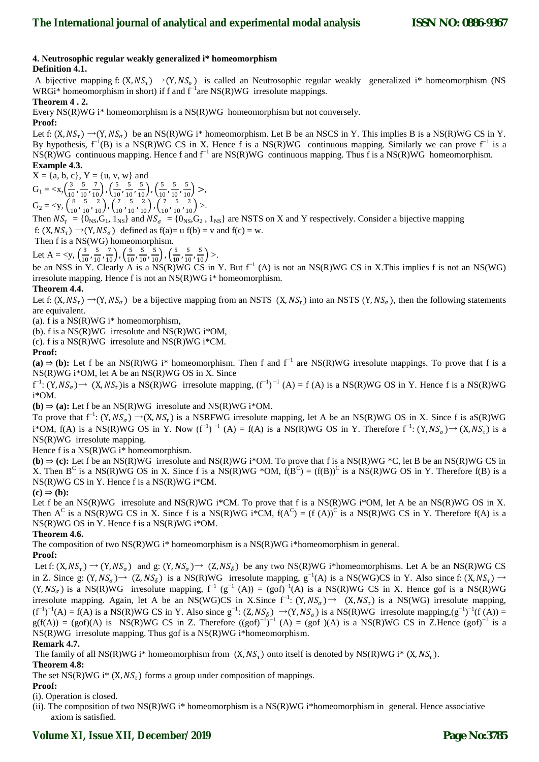# **4. Neutrosophic regular weakly generalized i\* homeomorphism**

# **Definition 4.1.**

A bijective mapping f:  $(X, NS<sub>r</sub>) \rightarrow (Y, NS<sub>g</sub>)$  is called an Neutrosophic regular weakly generalized i\* homeomorphism (NS WRGi\* homeomorphism in short) if f and f<sup>-1</sup>are NS(R)WG irresolute mappings.

# **Theorem 4 . 2.**

Every NS(R)WG i\* homeomorphism is a NS(R)WG homeomorphism but not conversely.

# **Proof:**

Let f:  $(X, NS_\tau) \rightarrow (Y, NS_\sigma)$  be an NS(R)WG i\* homeomorphism. Let B be an NSCS in Y. This implies B is a NS(R)WG CS in Y. By hypothesis,  $f^{-1}(B)$  is a NS(R)WG CS in X. Hence f is a NS(R)WG continuous mapping. Similarly we can prove  $f^{-1}$  is a NS(R)WG continuous mapping. Hence f and f<sup>-1</sup> are NS(R)WG continuous mapping. Thus f is a NS(R)WG homeomorphism. **Example 4.3.** 

 $X = \{a, b, c\}, Y = \{u, v, w\}$  and  $G_1 = \langle x, \frac{3}{10} \rangle$  $\frac{3}{10}$ ,  $\frac{5}{10}$  $\frac{5}{10}, \frac{7}{10}$ ,  $\left(\frac{5}{10}\right)$  $\frac{5}{10}$ ,  $\frac{5}{10}$  $\frac{5}{10}, \frac{5}{10}$ ,  $\left(\frac{5}{10}\right)$  $\frac{5}{10}$ ,  $\frac{5}{10}$  $\frac{5}{10}, \frac{5}{10}$  >,  $G_2 = \lt y, \left(\frac{8}{10}\right)$  $\frac{8}{10}$ ,  $\frac{5}{10}$  $\frac{5}{10}, \frac{2}{10}$ ,  $\left(\frac{7}{10}\right)$  $\frac{7}{10}$ ,  $\frac{5}{10}$  $\frac{5}{10}, \frac{2}{10}$ ,  $\left(\frac{7}{10}\right)$  $\frac{7}{10}$ ,  $\frac{5}{10}$  $\frac{5}{10}, \frac{2}{10}$  >.

Then  $NS_{\tau} = \{0_{NS}, G_1, 1_{NS}\}\$ and  $NS_{\sigma} = \{0_{NS}, G_2, 1_{NS}\}\$ are NSTS on X and Y respectively. Consider a bijective mapping f:  $(X, NS_{\tau}) \rightarrow (Y, NS_{\sigma})$  defined as  $f(a)=u f(b) = v$  and  $f(c) = w$ .

Then f is a NS(WG) homeomorphism.

Let A =  $$  $\frac{3}{10}$ ,  $\frac{5}{10}$  $\frac{5}{10}, \frac{7}{10}$ ,  $\left(\frac{5}{10}\right)$  $\frac{5}{10}$ ,  $\frac{5}{10}$  $\frac{5}{10}, \frac{5}{10}$ ,  $\left(\frac{5}{10}\right)$  $\frac{5}{10}$ ,  $\frac{5}{10}$  $\frac{5}{10}, \frac{5}{10}$  >.

be an NSS in Y. Clearly A is a NS(R)WG CS in Y. But  $f^{-1}(A)$  is not an NS(R)WG CS in X. This implies f is not an NS(WG) irresolute mapping. Hence f is not an NS(R)WG i\* homeomorphism.

# **Theorem 4.4.**

Let f:  $(X, NS_\tau) \rightarrow (Y, NS_\sigma)$  be a bijective mapping from an NSTS  $(X, NS_\tau)$  into an NSTS  $(Y, NS_\sigma)$ , then the following statements are equivalent.

(a). f is a  $NS(R)WG$  i\* homeomorphism,

(b). f is a NS(R)WG irresolute and NS(R)WG i\*OM,

(c). f is a  $NS(R)WG$  irresolute and  $NS(R)WG$  i\*CM.

# **Proof:**

(a)  $\Rightarrow$  (b): Let f be an NS(R)WG i\* homeomorphism. Then f and f<sup>-1</sup> are NS(R)WG irresolute mappings. To prove that f is a NS(R)WG i\*OM, let A be an NS(R)WG OS in X. Since

 $f^{-1}: (Y, NS_{\sigma}) \rightarrow (X, NS_{\tau})$  is a NS(R)WG irresolute mapping,  $(f^{-1})^{-1}(A) = f(A)$  is a NS(R)WG OS in Y. Hence f is a NS(R)WG i\*OM.

**(b)**  $\Rightarrow$  **(a):** Let f be an NS(R)WG irresolute and NS(R)WG i\*OM.

To prove that  $f^{-1}$ :  $(Y, NS_{\sigma}) \rightarrow (X, NS_{\tau})$  is a NSRFWG irresolute mapping, let A be an NS(R)WG OS in X. Since f is aS(R)WG i\*OM, f(A) is a NS(R)WG OS in Y. Now  $(f^{-1})^{-1}$  (A) = f(A) is a NS(R)WG OS in Y. Therefore  $f^{-1}$ :  $(Y, NS_{\sigma}) \rightarrow (X, NS_{\tau})$  is a NS(R)WG irresolute mapping.

Hence f is a NS(R)WG i\* homeomorphism.

**(b)**  $\Rightarrow$  **(c):** Let f be an NS(R)WG irresolute and NS(R)WG i\*OM. To prove that f is a NS(R)WG \*C, let B be an NS(R)WG CS in X. Then B<sup>C</sup> is a NS(R)WG OS in X. Since f is a NS(R)WG \*OM,  $f(B^C) = (f(B))^C$  is a NS(R)WG OS in Y. Therefore  $f(B)$  is a NS(R)WG CS in Y. Hence f is a NS(R)WG i\*CM.

## $(c) \Rightarrow (b)$ :

Let f be an NS(R)WG irresolute and NS(R)WG i<sup>\*</sup>CM. To prove that f is a NS(R)WG i<sup>\*</sup>OM, let A be an NS(R)WG OS in X. Then  $A^C$  is a NS(R)WG CS in X. Since f is a NS(R)WG i\*CM,  $f(A^C) = (f(A))^C$  is a NS(R)WG CS in Y. Therefore  $f(A)$  is a NS(R)WG OS in Y. Hence f is a NS(R)WG i\*OM.

# **Theorem 4.6.**

The composition of two  $NS(R)WG$  i\* homeomorphism is a  $NS(R)WG$  i\*homeomorphism in general.

# **Proof:**

Let f:  $(X, NS_{\tau}) \rightarrow (Y, NS_{\sigma})$  and g:  $(Y, NS_{\sigma}) \rightarrow (Z, NS_{\delta})$  be any two NS(R)WG i\*homeomorphisms. Let A be an NS(R)WG CS in Z. Since g:  $(Y, NS_{\sigma}) \rightarrow (Z, NS_{\delta})$  is a NS(R)WG irresolute mapping, g<sup>-1</sup>(A) is a NS(WG)CS in Y. Also since f:  $(X, NS_{\tau}) \rightarrow$  $(Y, NS_{\sigma})$  is a NS(R)WG irresolute mapping,  $f^{-1}(g^{-1}(A)) = (g \circ f)^{-1}(A)$  is a NS(R)WG CS in X. Hence gof is a NS(R)WG irresolute mapping. Again, let A be an NS(WG)CS in X.Since  $f^{-1}$ :  $(Y, NS_{\sigma}) \rightarrow (X, NS_{\tau})$  is a NS(WG) irresolute mapping,  $(f^{-1})^{-1}(A) = f(A)$  is a NS(R)WG CS in Y. Also since  $g^{-1}$ :  $(Z, NS_{\delta}) \rightarrow (Y, NS_{\sigma})$  is a NS(R)WG irresolute mapping, $(g^{-1})^{-1}(f(A)) =$  $g(f(A)) = (gof)(A)$  is NS(R)WG CS in Z. Therefore  $((gof)^{-1})^{-1}$  (A) = (gof )(A) is a NS(R)WG CS in Z.Hence  $(gof)^{-1}$  is a NS(R)WG irresolute mapping. Thus gof is a NS(R)WG i\*homeomorphism.

## **Remark 4.7.**

The family of all NS(R)WG i\* homeomorphism from  $(X, NS<sub>r</sub>)$  onto itself is denoted by NS(R)WG i\*  $(X, NS<sub>r</sub>)$ . **Theorem 4.8:** 

The set NS(R)WG i\*  $(X, NS_{\tau})$  forms a group under composition of mappings.

# **Proof:**

(i). Operation is closed.

(ii). The composition of two NS(R)WG i\* homeomorphism is a NS(R)WG i\*homeomorphism in general. Hence associative axiom is satisfied.